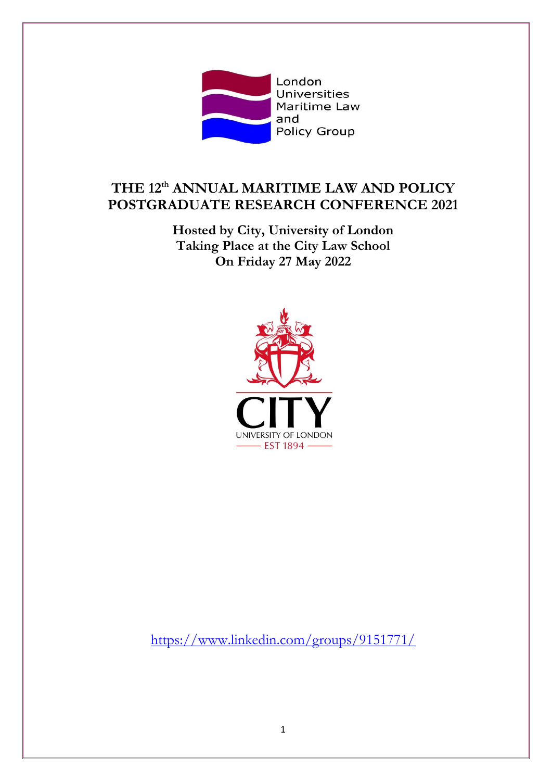

# **THE 12 th ANNUAL MARITIME LAW AND POLICY POSTGRADUATE RESEARCH CONFERENCE 2021**

**Hosted by City, University of London Taking Place at the City Law School On Friday 27 May 2022**



https://www.linkedin.com/groups/9151771/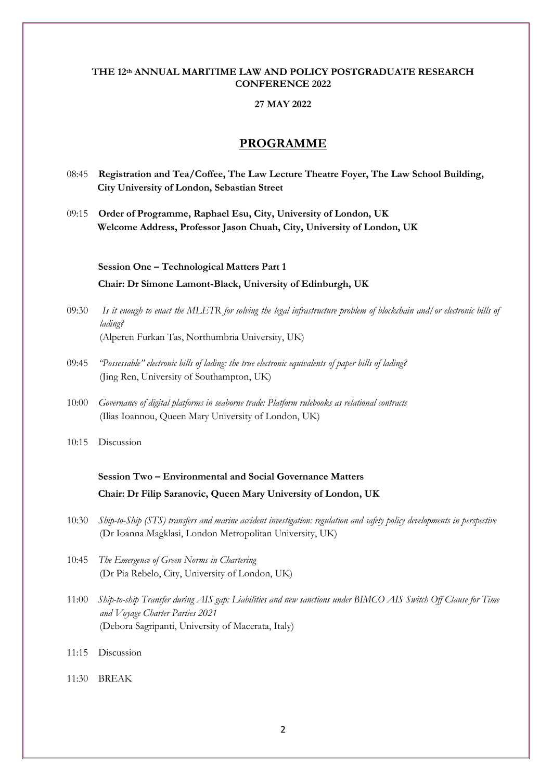#### **THE 12th ANNUAL MARITIME LAW AND POLICY POSTGRADUATE RESEARCH CONFERENCE 2022**

#### **27 MAY 2022**

#### **PROGRAMME**

- 08:45 **Registration and Tea/Coffee, The Law Lecture Theatre Foyer, The Law School Building, City University of London, Sebastian Street**
- 09:15 **Order of Programme, Raphael Esu, City, University of London, UK Welcome Address, Professor Jason Chuah, City, University of London, UK**

 **Session One – Technological Matters Part 1 Chair: Dr Simone Lamont-Black, University of Edinburgh, UK**

- 09:30 *Is it enough to enact the MLETR for solving the legal infrastructure problem of blockchain and/or electronic bills of lading?* (Alperen Furkan Tas, Northumbria University, UK)
- 09:45 *"Possessable" electronic bills of lading: the true electronic equivalents of paper bills of lading?* (Jing Ren, University of Southampton, UK)
- 10:00 *Governance of digital platforms in seaborne trade: Platform rulebooks as relational contracts* (Ilias Ioannou, Queen Mary University of London, UK)

10:15 Discussion

### **Session Two – Environmental and Social Governance Matters Chair: Dr Filip Saranovic, Queen Mary University of London, UK**

- 10:30 *Ship-to-Ship (STS) transfers and marine accident investigation: regulation and safety policy developments in perspective* (Dr Ioanna Magklasi, London Metropolitan University, UK)
- 10:45 *The Emergence of Green Norms in Chartering* (Dr Pia Rebelo, City, University of London, UK)
- 11:00 *Ship-to-ship Transfer during AIS gap: Liabilities and new sanctions under BIMCO AIS Switch Off Clause for Time and Voyage Charter Parties 2021* (Debora Sagripanti, University of Macerata, Italy)
- 11:15 Discussion
- 11:30 BREAK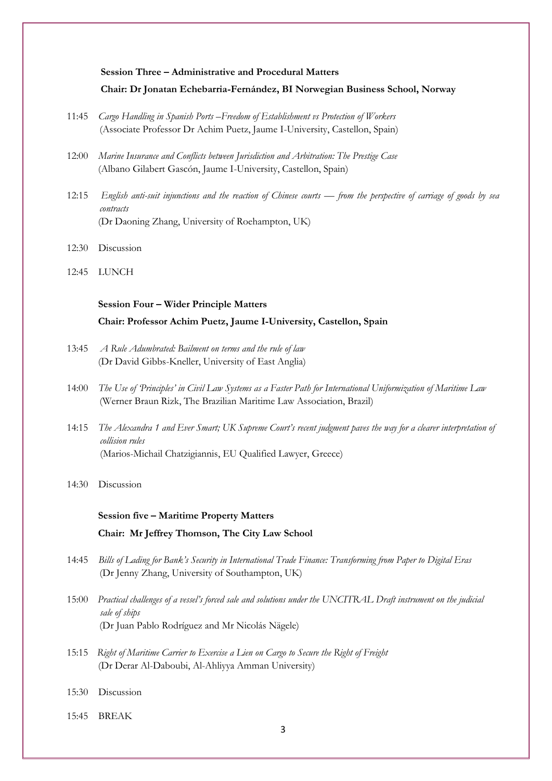#### **Session Three – Administrative and Procedural Matters Chair: Dr Jonatan Echebarria-Fernández, BI Norwegian Business School, Norway**

- 11:45 *Cargo Handling in Spanish Ports –Freedom of Establishment vs Protection of Workers* (Associate Professor Dr Achim Puetz, Jaume I-University, Castellon, Spain)
- 12:00 *Marine Insurance and Conflicts between Jurisdiction and Arbitration: The Prestige Case* (Albano Gilabert Gascón, Jaume I-University, Castellon, Spain)
- 12:15 *English anti-suit injunctions and the reaction of Chinese courts — from the perspective of carriage of goods by sea contracts* (Dr Daoning Zhang, University of Roehampton, UK)
- 12:30 Discussion
- 12:45 LUNCH

### **Session Four – Wider Principle Matters Chair: Professor Achim Puetz, Jaume I-University, Castellon, Spain**

- 13:45 *A Rule Adumbrated: Bailment on terms and the rule of law* (Dr David Gibbs-Kneller, University of East Anglia)
- 14:00 *The Use of 'Principles' in Civil Law Systems as a Faster Path for International Uniformization of Maritime Law* (Werner Braun Rizk, The Brazilian Maritime Law Association, Brazil)
- 14:15 *The Alexandra 1 and Ever Smart; UK Supreme Court's recent judgment paves the way for a clearer interpretation of collision rules* (Marios-Michail Chatzigiannis, EU Qualified Lawyer, Greece)
- 14:30 Discussion

## **Session five – Maritime Property Matters Chair: Mr Jeffrey Thomson, The City Law School**

- 14:45 *Bills of Lading for Bank's Security in International Trade Finance: Transforming from Paper to Digital Eras* (Dr Jenny Zhang, University of Southampton, UK)
- 15:00 *Practical challenges of a vessel's forced sale and solutions under the UNCITRAL Draft instrument on the judicial sale of ships* (Dr Juan Pablo Rodríguez and Mr Nicolás Nägele)
- 15:15 *Right of Maritime Carrier to Exercise a Lien on Cargo to Secure the Right of Freight* (Dr Derar Al-Daboubi, Al-Ahliyya Amman University)
- 15:30 Discussion
- 15:45 BREAK